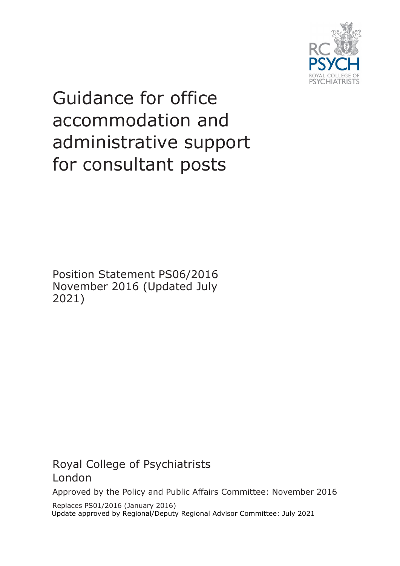

# Guidance for office accommodation and administrative support for consultant posts

Position Statement PS06/2016 November 2016 (Updated July 2021)

Royal College of Psychiatrists London

Approved by the Policy and Public Affairs Committee: November 2016

Replaces PS01/2016 (January 2016) Update approved by Regional/Deputy Regional Advisor Committee: July 2021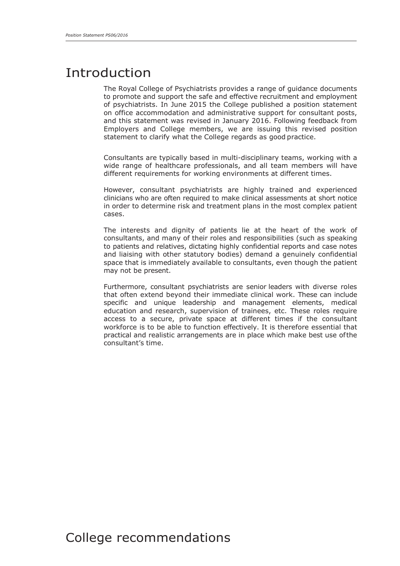## Introduction

The Royal College of Psychiatrists provides a range of guidance documents to promote and support the safe and effective recruitment and employment of psychiatrists. In June 2015 the College published a position statement on office accommodation and administrative support for consultant posts, and this statement was revised in January 2016. Following feedback from Employers and College members, we are issuing this revised position statement to clarify what the College regards as good practice.

Consultants are typically based in multi-disciplinary teams, working with a wide range of healthcare professionals, and all team members will have different requirements for working environments at different times.

However, consultant psychiatrists are highly trained and experienced clinicians who are often required to make clinical assessments at short notice in order to determine risk and treatment plans in the most complex patient cases.

The interests and dignity of patients lie at the heart of the work of consultants, and many of their roles and responsibilities (such as speaking to patients and relatives, dictating highly confidential reports and case notes and liaising with other statutory bodies) demand a genuinely confidential space that is immediately available to consultants, even though the patient may not be present.

Furthermore, consultant psychiatrists are senior leaders with diverse roles that often extend beyond their immediate clinical work. These can include specific and unique leadership and management elements, medical education and research, supervision of trainees, etc. These roles require access to a secure, private space at different times if the consultant workforce is to be able to function effectively. It is therefore essential that practical and realistic arrangements are in place which make best use ofthe consultant's time.

### College recommendations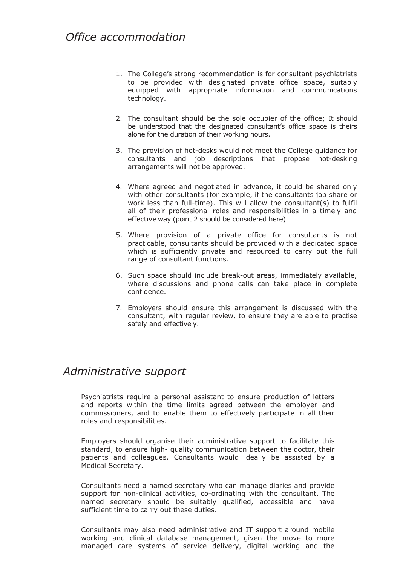- 1. The College's strong recommendation is for consultant psychiatrists to be provided with designated private office space, suitably equipped with appropriate information and communications technology.
- 2. The consultant should be the sole occupier of the office; It should be understood that the designated consultant's office space is theirs alone for the duration of their working hours.
- 3. The provision of hot-desks would not meet the College guidance for consultants and job descriptions that propose hot-desking arrangements will not be approved.
- 4. Where agreed and negotiated in advance, it could be shared only with other consultants (for example, if the consultants job share or work less than full-time). This will allow the consultant(s) to fulfil all of their professional roles and responsibilities in a timely and effective way (point 2 should be considered here)
- 5. Where provision of a private office for consultants is not practicable, consultants should be provided with a dedicated space which is sufficiently private and resourced to carry out the full range of consultant functions.
- 6. Such space should include break-out areas, immediately available, where discussions and phone calls can take place in complete confidence.
- 7. Employers should ensure this arrangement is discussed with the consultant, with regular review, to ensure they are able to practise safely and effectively.

#### *Administrative support*

Psychiatrists require a personal assistant to ensure production of letters and reports within the time limits agreed between the employer and commissioners, and to enable them to effectively participate in all their roles and responsibilities.

Employers should organise their administrative support to facilitate this standard, to ensure high- quality communication between the doctor, their patients and colleagues. Consultants would ideally be assisted by a Medical Secretary.

Consultants need a named secretary who can manage diaries and provide support for non-clinical activities, co-ordinating with the consultant. The named secretary should be suitably qualified, accessible and have sufficient time to carry out these duties.

Consultants may also need administrative and IT support around mobile working and clinical database management, given the move to more managed care systems of service delivery, digital working and the